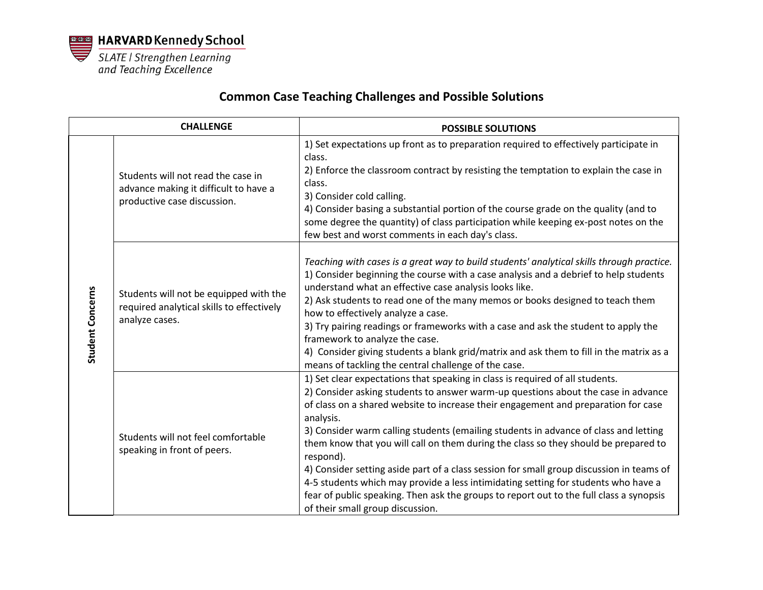

## **Common Case Teaching Challenges and Possible Solutions**

|                         | <b>CHALLENGE</b>                                                                                           | <b>POSSIBLE SOLUTIONS</b>                                                                                                                                                                                                                                                                                                                                                                                                                                                                                                                                                                                                                                                                                                                                                          |
|-------------------------|------------------------------------------------------------------------------------------------------------|------------------------------------------------------------------------------------------------------------------------------------------------------------------------------------------------------------------------------------------------------------------------------------------------------------------------------------------------------------------------------------------------------------------------------------------------------------------------------------------------------------------------------------------------------------------------------------------------------------------------------------------------------------------------------------------------------------------------------------------------------------------------------------|
| <b>Student Concerns</b> | Students will not read the case in<br>advance making it difficult to have a<br>productive case discussion. | 1) Set expectations up front as to preparation required to effectively participate in<br>class.<br>2) Enforce the classroom contract by resisting the temptation to explain the case in<br>class.<br>3) Consider cold calling.<br>4) Consider basing a substantial portion of the course grade on the quality (and to<br>some degree the quantity) of class participation while keeping ex-post notes on the<br>few best and worst comments in each day's class.                                                                                                                                                                                                                                                                                                                   |
|                         | Students will not be equipped with the<br>required analytical skills to effectively<br>analyze cases.      | Teaching with cases is a great way to build students' analytical skills through practice.<br>1) Consider beginning the course with a case analysis and a debrief to help students<br>understand what an effective case analysis looks like.<br>2) Ask students to read one of the many memos or books designed to teach them<br>how to effectively analyze a case.<br>3) Try pairing readings or frameworks with a case and ask the student to apply the<br>framework to analyze the case.<br>4) Consider giving students a blank grid/matrix and ask them to fill in the matrix as a<br>means of tackling the central challenge of the case.                                                                                                                                      |
|                         | Students will not feel comfortable<br>speaking in front of peers.                                          | 1) Set clear expectations that speaking in class is required of all students.<br>2) Consider asking students to answer warm-up questions about the case in advance<br>of class on a shared website to increase their engagement and preparation for case<br>analysis.<br>3) Consider warm calling students (emailing students in advance of class and letting<br>them know that you will call on them during the class so they should be prepared to<br>respond).<br>4) Consider setting aside part of a class session for small group discussion in teams of<br>4-5 students which may provide a less intimidating setting for students who have a<br>fear of public speaking. Then ask the groups to report out to the full class a synopsis<br>of their small group discussion. |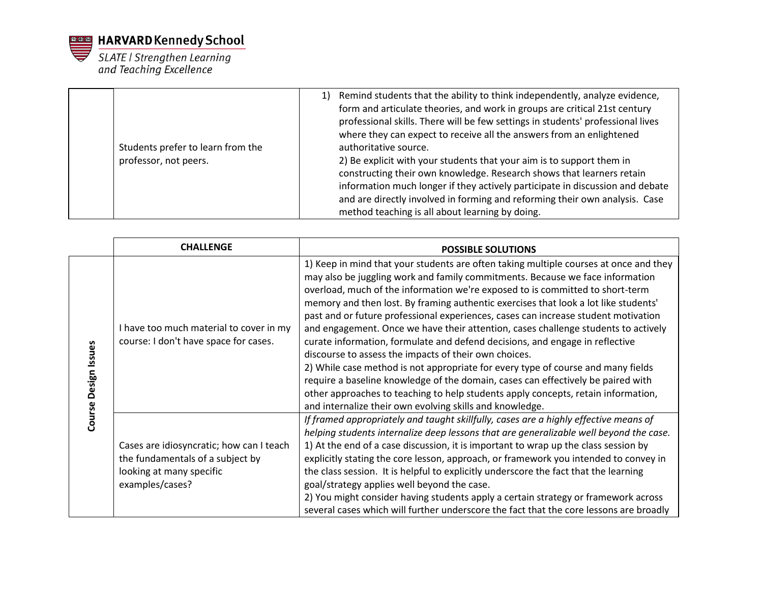

HARVARD Kennedy School **SLATE | Strengthen Learning<br>and Teaching Excellence** 

| Students prefer to learn from the<br>professor, not peers. | 1) Remind students that the ability to think independently, analyze evidence,<br>form and articulate theories, and work in groups are critical 21st century<br>professional skills. There will be few settings in students' professional lives<br>where they can expect to receive all the answers from an enlightened<br>authoritative source.<br>2) Be explicit with your students that your aim is to support them in |
|------------------------------------------------------------|--------------------------------------------------------------------------------------------------------------------------------------------------------------------------------------------------------------------------------------------------------------------------------------------------------------------------------------------------------------------------------------------------------------------------|
|                                                            | constructing their own knowledge. Research shows that learners retain<br>information much longer if they actively participate in discussion and debate<br>and are directly involved in forming and reforming their own analysis. Case<br>method teaching is all about learning by doing.                                                                                                                                 |

|                      | <b>CHALLENGE</b>                                                                                                            | <b>POSSIBLE SOLUTIONS</b>                                                                                                                                                                                                                                                                                                                                                                                                                                                                                                                                                                                                                                                                                                                                                                                                                                                                                                                                                                    |
|----------------------|-----------------------------------------------------------------------------------------------------------------------------|----------------------------------------------------------------------------------------------------------------------------------------------------------------------------------------------------------------------------------------------------------------------------------------------------------------------------------------------------------------------------------------------------------------------------------------------------------------------------------------------------------------------------------------------------------------------------------------------------------------------------------------------------------------------------------------------------------------------------------------------------------------------------------------------------------------------------------------------------------------------------------------------------------------------------------------------------------------------------------------------|
| Course Design Issues | I have too much material to cover in my<br>course: I don't have space for cases.                                            | 1) Keep in mind that your students are often taking multiple courses at once and they<br>may also be juggling work and family commitments. Because we face information<br>overload, much of the information we're exposed to is committed to short-term<br>memory and then lost. By framing authentic exercises that look a lot like students'<br>past and or future professional experiences, cases can increase student motivation<br>and engagement. Once we have their attention, cases challenge students to actively<br>curate information, formulate and defend decisions, and engage in reflective<br>discourse to assess the impacts of their own choices.<br>2) While case method is not appropriate for every type of course and many fields<br>require a baseline knowledge of the domain, cases can effectively be paired with<br>other approaches to teaching to help students apply concepts, retain information,<br>and internalize their own evolving skills and knowledge. |
|                      | Cases are idiosyncratic; how can I teach<br>the fundamentals of a subject by<br>looking at many specific<br>examples/cases? | If framed appropriately and taught skillfully, cases are a highly effective means of<br>helping students internalize deep lessons that are generalizable well beyond the case.<br>1) At the end of a case discussion, it is important to wrap up the class session by<br>explicitly stating the core lesson, approach, or framework you intended to convey in<br>the class session. It is helpful to explicitly underscore the fact that the learning<br>goal/strategy applies well beyond the case.<br>2) You might consider having students apply a certain strategy or framework across<br>several cases which will further underscore the fact that the core lessons are broadly                                                                                                                                                                                                                                                                                                         |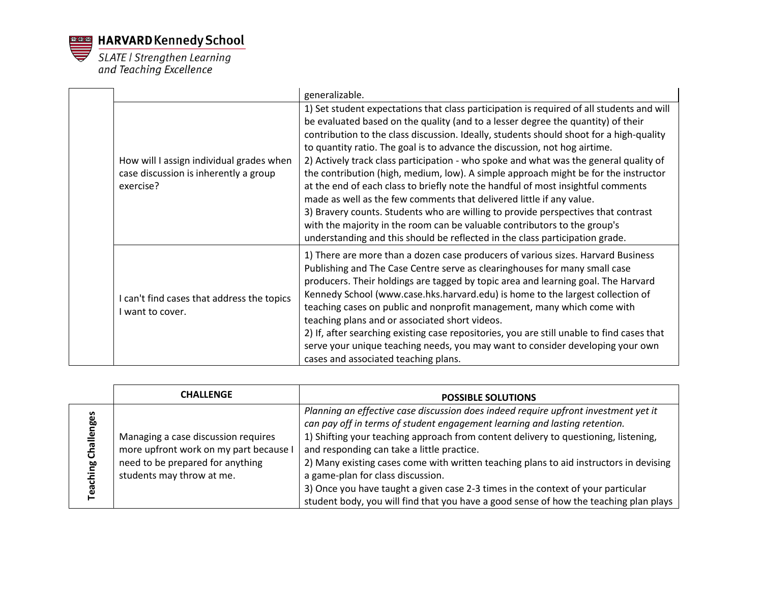

HARVARD Kennedy School **SLATE | Strengthen Learning<br>and Teaching Excellence** 

|                                                                                                | generalizable.                                                                                                                                                                                                                                                                                                                                                                                                                                                                                                                                                                                                                                                                                                                                                                                                                                                                                                                                       |
|------------------------------------------------------------------------------------------------|------------------------------------------------------------------------------------------------------------------------------------------------------------------------------------------------------------------------------------------------------------------------------------------------------------------------------------------------------------------------------------------------------------------------------------------------------------------------------------------------------------------------------------------------------------------------------------------------------------------------------------------------------------------------------------------------------------------------------------------------------------------------------------------------------------------------------------------------------------------------------------------------------------------------------------------------------|
| How will I assign individual grades when<br>case discussion is inherently a group<br>exercise? | 1) Set student expectations that class participation is required of all students and will<br>be evaluated based on the quality (and to a lesser degree the quantity) of their<br>contribution to the class discussion. Ideally, students should shoot for a high-quality<br>to quantity ratio. The goal is to advance the discussion, not hog airtime.<br>2) Actively track class participation - who spoke and what was the general quality of<br>the contribution (high, medium, low). A simple approach might be for the instructor<br>at the end of each class to briefly note the handful of most insightful comments<br>made as well as the few comments that delivered little if any value.<br>3) Bravery counts. Students who are willing to provide perspectives that contrast<br>with the majority in the room can be valuable contributors to the group's<br>understanding and this should be reflected in the class participation grade. |
| I can't find cases that address the topics<br>I want to cover.                                 | 1) There are more than a dozen case producers of various sizes. Harvard Business<br>Publishing and The Case Centre serve as clearinghouses for many small case<br>producers. Their holdings are tagged by topic area and learning goal. The Harvard<br>Kennedy School (www.case.hks.harvard.edu) is home to the largest collection of<br>teaching cases on public and nonprofit management, many which come with<br>teaching plans and or associated short videos.<br>2) If, after searching existing case repositories, you are still unable to find cases that<br>serve your unique teaching needs, you may want to consider developing your own<br>cases and associated teaching plans.                                                                                                                                                                                                                                                           |

|                     | <b>CHALLENGE</b>                                                                                                                               | <b>POSSIBLE SOLUTIONS</b>                                                                                                                                                                                                                                                                                                                                                                                                                                                                                                                                                                                          |
|---------------------|------------------------------------------------------------------------------------------------------------------------------------------------|--------------------------------------------------------------------------------------------------------------------------------------------------------------------------------------------------------------------------------------------------------------------------------------------------------------------------------------------------------------------------------------------------------------------------------------------------------------------------------------------------------------------------------------------------------------------------------------------------------------------|
| nges<br>ဗူ<br>Teacl | Managing a case discussion requires<br>more upfront work on my part because I<br>need to be prepared for anything<br>students may throw at me. | Planning an effective case discussion does indeed require upfront investment yet it<br>can pay off in terms of student engagement learning and lasting retention.<br>1) Shifting your teaching approach from content delivery to questioning, listening,<br>and responding can take a little practice.<br>2) Many existing cases come with written teaching plans to aid instructors in devising<br>a game-plan for class discussion.<br>3) Once you have taught a given case 2-3 times in the context of your particular<br>student body, you will find that you have a good sense of how the teaching plan plays |